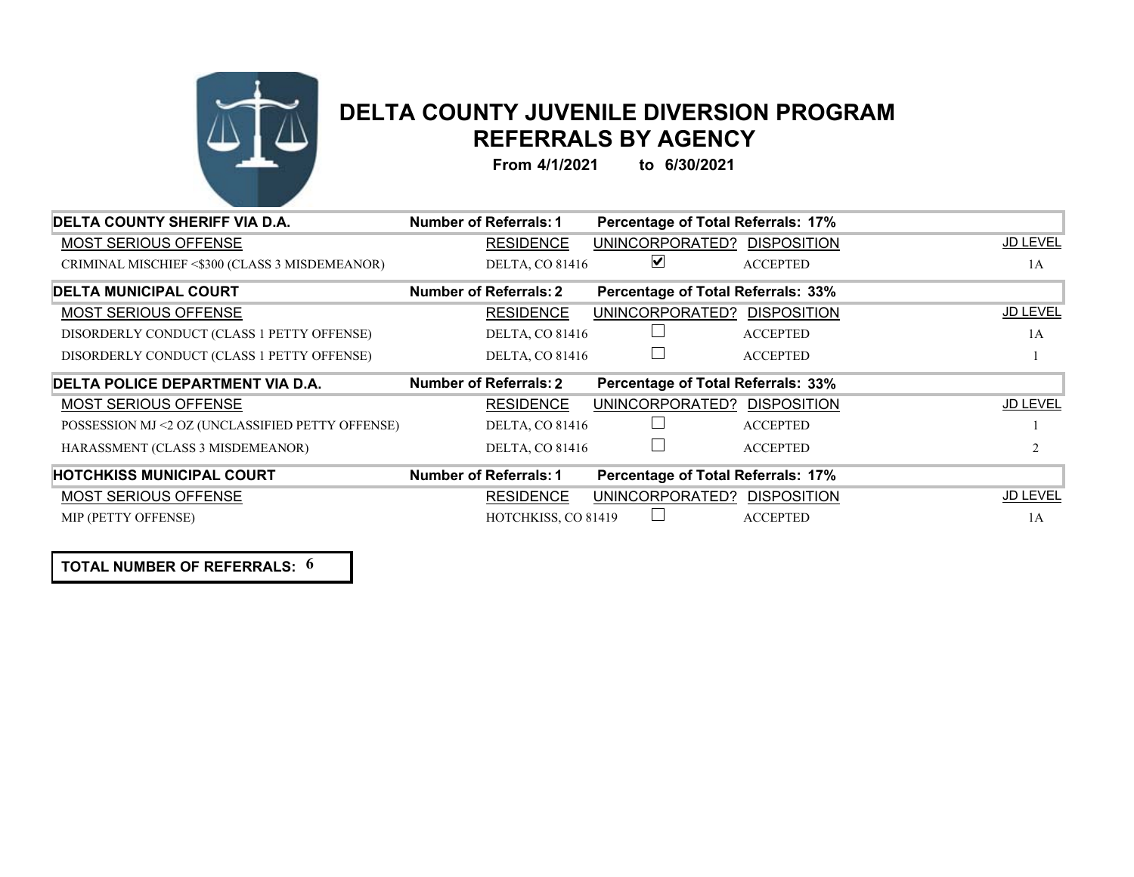

## **DELTA COUNTY JUVENILE DIVERSION PROGRAM REFERRALS BY AGENCY**

**From 4/1/2021 to 6/30/2021**

| DELTA COUNTY SHERIFF VIA D.A.                    | Number of Referrals: 1 | Percentage of Total Referrals: 17%        |                    |                 |
|--------------------------------------------------|------------------------|-------------------------------------------|--------------------|-----------------|
| <b>MOST SERIOUS OFFENSE</b>                      | <b>RESIDENCE</b>       | UNINCORPORATED?                           | <b>DISPOSITION</b> | <b>JD LEVEL</b> |
| CRIMINAL MISCHIEF <\$300 (CLASS 3 MISDEMEANOR)   | DELTA, CO 81416        | $\blacktriangledown$                      | <b>ACCEPTED</b>    | 1A              |
| <b>DELTA MUNICIPAL COURT</b>                     | Number of Referrals: 2 | <b>Percentage of Total Referrals: 33%</b> |                    |                 |
| <b>MOST SERIOUS OFFENSE</b>                      | <b>RESIDENCE</b>       | UNINCORPORATED?                           | <b>DISPOSITION</b> | <b>JD LEVEL</b> |
| DISORDERLY CONDUCT (CLASS 1 PETTY OFFENSE)       | <b>DELTA, CO 81416</b> |                                           | <b>ACCEPTED</b>    | 1A              |
| DISORDERLY CONDUCT (CLASS 1 PETTY OFFENSE)       | <b>DELTA, CO 81416</b> |                                           | <b>ACCEPTED</b>    |                 |
| DELTA POLICE DEPARTMENT VIA D.A.                 | Number of Referrals: 2 | <b>Percentage of Total Referrals: 33%</b> |                    |                 |
| <b>MOST SERIOUS OFFENSE</b>                      | <b>RESIDENCE</b>       | UNINCORPORATED?                           | <b>DISPOSITION</b> | <b>JD LEVEL</b> |
| POSSESSION MJ <2 OZ (UNCLASSIFIED PETTY OFFENSE) | <b>DELTA, CO 81416</b> |                                           | <b>ACCEPTED</b>    |                 |
| HARASSMENT (CLASS 3 MISDEMEANOR)                 | <b>DELTA, CO 81416</b> |                                           | <b>ACCEPTED</b>    |                 |
|                                                  |                        |                                           |                    |                 |
| <b>HOTCHKISS MUNICIPAL COURT</b>                 | Number of Referrals: 1 | Percentage of Total Referrals: 17%        |                    |                 |
| <b>MOST SERIOUS OFFENSE</b>                      | <b>RESIDENCE</b>       | UNINCORPORATED?                           | <b>DISPOSITION</b> | <b>JD LEVEL</b> |

**TOTAL NUMBER OF REFERRALS: 6**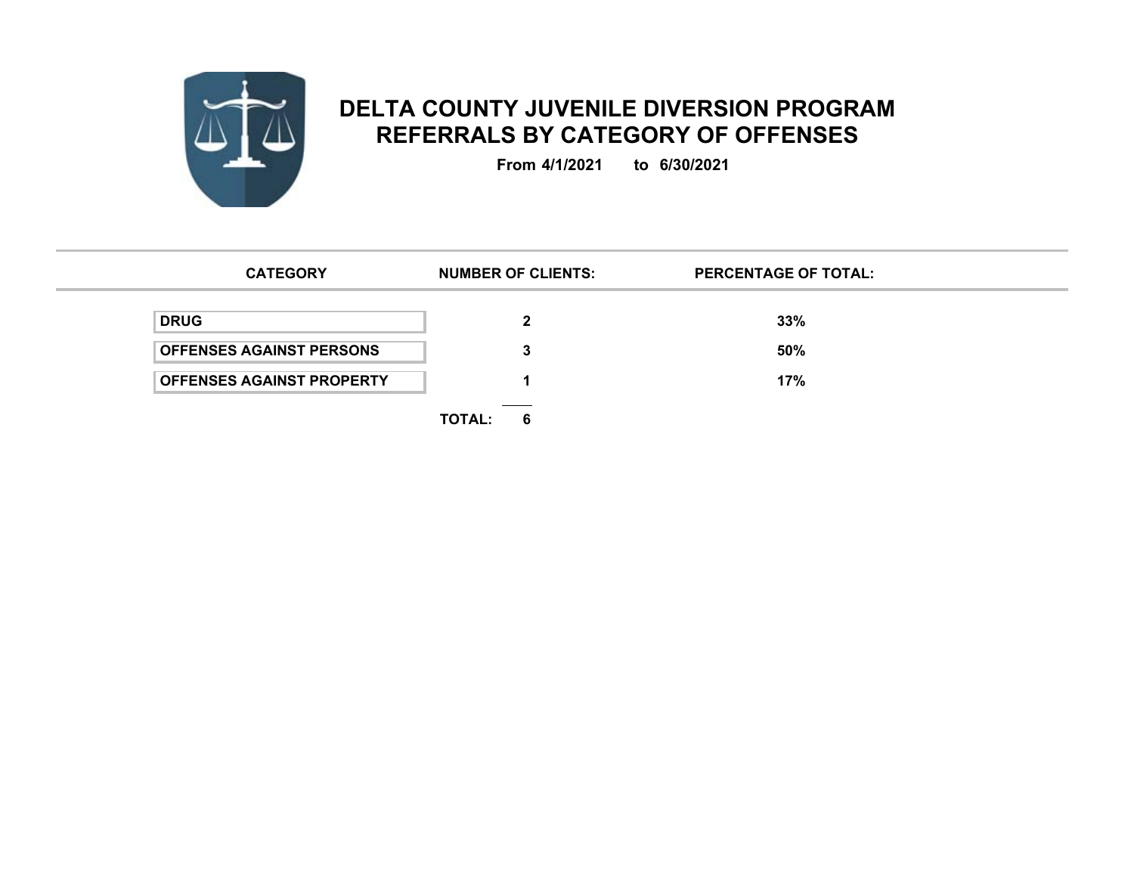

## **DELTA COUNTY JUVENILE DIVERSION PROGRAM REFERRALS BY CATEGORY OF OFFENSES**

**From 4/1/2021 to 6/30/2021**

| <b>CATEGORY</b>                  |               | <b>NUMBER OF CLIENTS:</b>                   | <b>PERCENTAGE OF TOTAL:</b> |
|----------------------------------|---------------|---------------------------------------------|-----------------------------|
| <b>DRUG</b>                      |               |                                             | 33%                         |
| <b>OFFENSES AGAINST PERSONS</b>  |               |                                             | 50%                         |
| <b>OFFENSES AGAINST PROPERTY</b> |               |                                             | 17%                         |
|                                  | <b>TOTAL:</b> | the control of the control of the con-<br>6 |                             |